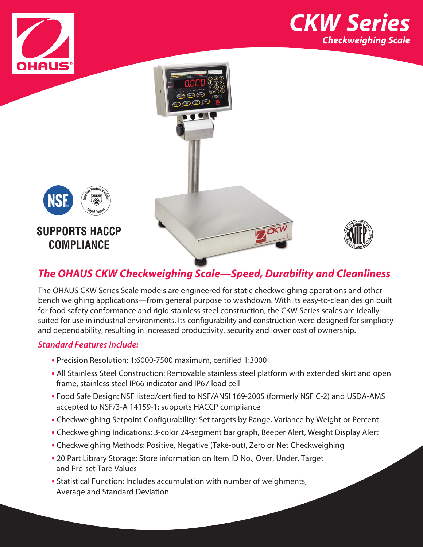







## *The OHAUS CKW Checkweighing Scale—Speed, Durability and Cleanliness*

The OHAUS CKW Series Scale models are engineered for static checkweighing operations and other bench weighing applications—from general purpose to washdown. With its easy-to-clean design built for food safety conformance and rigid stainless steel construction, the CKW Series scales are ideally suited for use in industrial environments. Its configurability and construction were designed for simplicity and dependability, resulting in increased productivity, security and lower cost of ownership.

### *Standard Features Include:*

**SUPPORTS HACCP COMPLIANCE**

- **•** Precision Resolution: 1:6000-7500 maximum, certified 1:3000
- **•** All Stainless Steel Construction: Removable stainless steel platform with extended skirt and open frame, stainless steel IP66 indicator and IP67 load cell
- **•** Food Safe Design: NSF listed/certified to NSF/ANSI 169-2005 (formerly NSF C-2) and USDA-AMS accepted to NSF/3-A 14159-1; supports HACCP compliance
- **•** Checkweighing Setpoint Configurability: Set targets by Range, Variance by Weight or Percent
- **•** Checkweighing Indications: 3-color 24-segment bar graph, Beeper Alert, Weight Display Alert
- **•** Checkweighing Methods: Positive, Negative (Take-out), Zero or Net Checkweighing
- **•** 20 Part Library Storage: Store information on Item ID No., Over, Under, Target and Pre-set Tare Values
- **•** Statistical Function: Includes accumulation with number of weighments, Average and Standard Deviation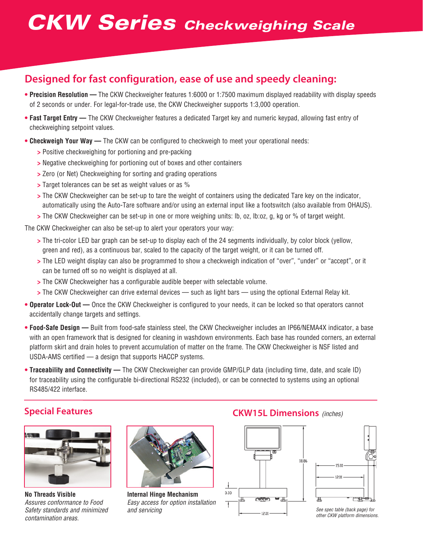# *CKW Series Checkweighing Scale*

# **Designed for fast configuration, ease of use and speedy cleaning:**

- **Precision Resolution** The CKW Checkweigher features 1:6000 or 1:7500 maximum displayed readability with display speeds of 2 seconds or under. For legal-for-trade use, the CKW Checkweigher supports 1:3,000 operation.
- **Fast Target Entry** The CKW Checkweigher features a dedicated Target key and numeric keypad, allowing fast entry of checkweighing setpoint values.
- **Checkweigh Your Way** The CKW can be configured to checkweigh to meet your operational needs:
	- **>** Positive checkweighing for portioning and pre-packing
	- **>** Negative checkweighing for portioning out of boxes and other containers
	- **>** Zero (or Net) Checkweighing for sorting and grading operations
	- **>** Target tolerances can be set as weight values or as %
	- **>** The CKW Checkweigher can be set-up to tare the weight of containers using the dedicated Tare key on the indicator, automatically using the Auto-Tare software and/or using an external input like a footswitch (also available from OHAUS).
	- **>** The CKW Checkweigher can be set-up in one or more weighing units: lb, oz, lb:oz, g, kg or % of target weight.

The CKW Checkweigher can also be set-up to alert your operators your way:

- **>** The tri-color LED bar graph can be set-up to display each of the 24 segments individually, by color block (yellow, green and red), as a continuous bar, scaled to the capacity of the target weight, or it can be turned off.
- **>** The LED weight display can also be programmed to show a checkweigh indication of "over", "under" or "accept", or it can be turned off so no weight is displayed at all.
- **>** The CKW Checkweigher has a configurable audible beeper with selectable volume.
- **>** The CKW Checkweigher can drive external devices such as light bars using the optional External Relay kit.
- **Operator Lock-Out** Once the CKW Checkweigher is configured to your needs, it can be locked so that operators cannot accidentally change targets and settings.
- **Food-Safe Design** Built from food-safe stainless steel, the CKW Checkweigher includes an IP66/NEMA4X indicator, a base with an open framework that is designed for cleaning in washdown environments. Each base has rounded corners, an external platform skirt and drain holes to prevent accumulation of matter on the frame. The CKW Checkweigher is NSF listed and USDA-AMS certified — a design that supports HACCP systems.
- **Traceability and Connectivity** The CKW Checkweigher can provide GMP/GLP data (including time, date, and scale ID) for traceability using the configurable bi-directional RS232 (included), or can be connected to systems using an optional RS485/422 interface.

## **Special Features CKW15L Dimensions** *(inches)*



**No Threads Visible** *Assures conformance to Food Safety standards and minimized contamination areas.*



**Internal Hinge Mechanism** *Easy access for option installation* 





*other CKW platform dimensions.*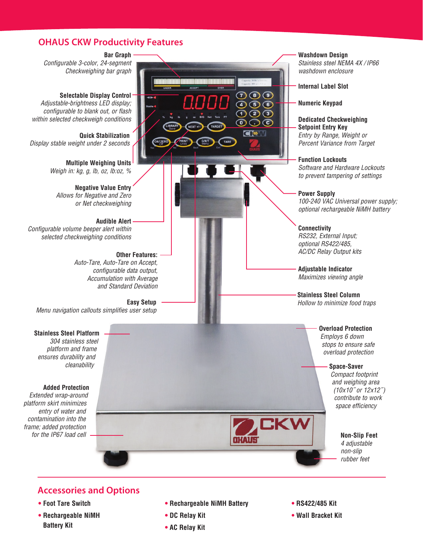### **OHAUS CKW Productivity Features**

**Bar Graph** *Configurable 3-color, 24-segment Checkweighing bar graph*

**Selectable Display Control** *Adjustable-brightness LED display; configurable to blank out, or flash within selected checkweigh conditions*

**Quick Stabilization** *Display stable weight under 2 seconds*

> **Multiple Weighing Units** *Weigh in: kg, g, lb, oz, lb:oz, %*

**Negative Value Entry** *Allows for Negative and Zero or Net checkweighing*

**Audible Alert** *Configurable volume beeper alert within selected checkweighing conditions*

> **Other Features:** *Auto-Tare, Auto-Tare on Accept, configurable data output, Accumulation with Average and Standard Deviation*

**Easy Setup** *Menu navigation callouts simplifies user setup*

**Stainless Steel Platform** *304 stainless steel platform and frame ensures durability and cleanability*

### **Added Protection**

*Extended wrap-around platform skirt minimizes entry of water and contamination into the frame; added protection* 

 $\bigcirc$   $\bigcirc$   $\bigcirc$  $\bigcirc$  5  $\bigcirc$  $O$  ② ③  $\odot$   $\odot$   $\odot$ **CISM** 

**Washdown Design**

*Stainless steel NEMA 4X / IP66 washdown enclosure*

**Internal Label Slot**

**Numeric Keypad**

**Dedicated Checkweighing Setpoint Entry Key** *Entry by Range, Weight or Percent Variance from Target*

**Function Lockouts** *Software and Hardware Lockouts to prevent tampering of settings*

**Power Supply** *100-240 VAC Universal power supply; optional rechargeable NiMH battery*

**Connectivity** *RS232, External Input; optional RS422/485, AC/DC Relay Output kits*

**Adjustable Indicator** *Maximizes viewing angle*

**Stainless Steel Column** *Hollow to minimize food traps*

> **Overload Protection** *Employs 6 down stops to ensure safe overload protection*

> > **Space-Saver**

*Compact footprint and weighing area (10x10˝ or 12x12˝) contribute to work space efficiency*

**CKW** *for the IP67 load cell* **Non-Slip Feet** 

*4 adjustable non-slip rubber feet*

**Accessories and Options**

- **• Foot Tare Switch**
- **• Rechargeable NiMH Battery Kit**
- **• Rechargeable NiMH Battery**
- **• DC Relay Kit**
- **• AC Relay Kit**
- **• RS422/485 Kit**
- **• Wall Bracket Kit**